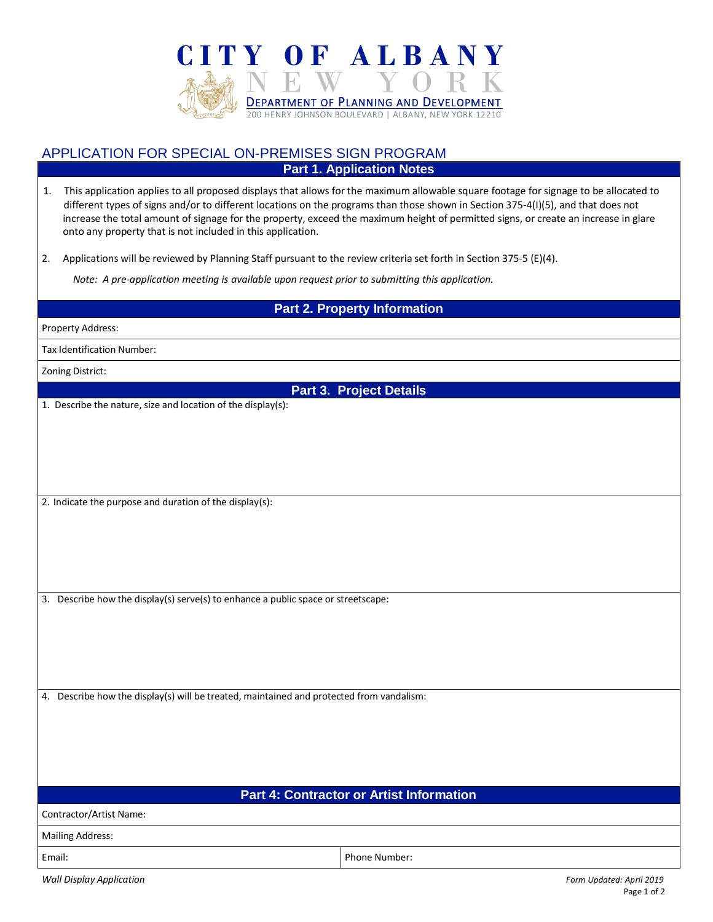

## APPLICATION FOR SPECIAL ON-PREMISES SIGN PROGRAM **Part 1. Application Notes**

1. This application applies to all proposed displays that allows for the maximum allowable square footage for signage to be allocated to different types of signs and/or to different locations on the programs than those shown in Section 375-4(I)(5), and that does not increase the total amount of signage for the property, exceed the maximum height of permitted signs, or create an increase in glare onto any property that is not included in this application.

2. Applications will be reviewed by Planning Staff pursuant to the review criteria set forth in Section 375-5 (E)(4).

 *Note: A pre-application meeting is available upon request prior to submitting this application.*

## **Part 2. Property Information**

| <b>Property Address:</b> |  |
|--------------------------|--|
|--------------------------|--|

Tax Identification Number:

Zoning District:

**Part 3. Project Details**

1. Describe the nature, size and location of the display(s):

2. Indicate the purpose and duration of the display(s):

3. Describe how the display(s) serve(s) to enhance a public space or streetscape:

4. Describe how the display(s) will be treated, maintained and protected from vandalism:

**Part 4: Contractor or Artist Information**

Contractor/Artist Name:

Mailing Address:

Email: Phone Number:

*Wall Display Application Form Updated: April 2019*